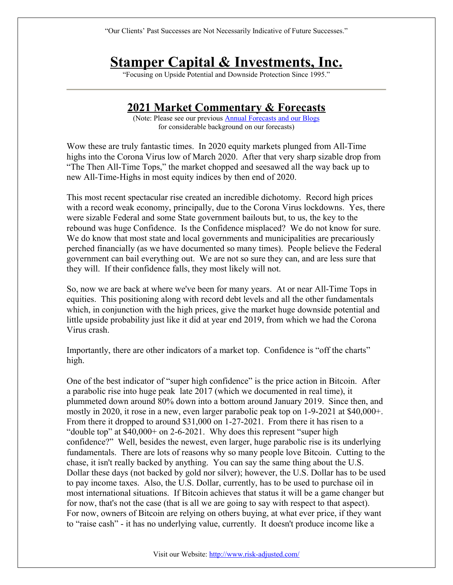"Our Clients' Past Successes are Not Necessarily Indicative of Future Successes."

# **Stamper Capital & Investments, Inc.**

"Focusing on Upside Potential and Downside Protection Since 1995."

# **2021 Market Commentary & Forecasts**

(Note: Please see our previous [Annual Forecasts](http://risk-adjusted.com/wordpress/presentations-education-opinions/annual-forecasts/) and our [Blogs](http://risk-adjusted.com/wordpress/presentations-education-opinions/weblogs/) for considerable background on our forecasts)

Wow these are truly fantastic times. In 2020 equity markets plunged from All-Time highs into the Corona Virus low of March 2020. After that very sharp sizable drop from "The Then All-Time Tops," the market chopped and seesawed all the way back up to new All-Time-Highs in most equity indices by then end of 2020.

This most recent spectacular rise created an incredible dichotomy. Record high prices with a record weak economy, principally, due to the Corona Virus lockdowns. Yes, there were sizable Federal and some State government bailouts but, to us, the key to the rebound was huge Confidence. Is the Confidence misplaced? We do not know for sure. We do know that most state and local governments and municipalities are precariously perched financially (as we have documented so many times). People believe the Federal government can bail everything out. We are not so sure they can, and are less sure that they will. If their confidence falls, they most likely will not.

So, now we are back at where we've been for many years. At or near All-Time Tops in equities. This positioning along with record debt levels and all the other fundamentals which, in conjunction with the high prices, give the market huge downside potential and little upside probability just like it did at year end 2019, from which we had the Corona Virus crash.

Importantly, there are other indicators of a market top. Confidence is "off the charts" high.

One of the best indicator of "super high confidence" is the price action in Bitcoin. After a parabolic rise into huge peak late 2017 (which we documented in real time), it plummeted down around 80% down into a bottom around January 2019. Since then, and mostly in 2020, it rose in a new, even larger parabolic peak top on 1-9-2021 at \$40,000+. From there it dropped to around \$31,000 on 1-27-2021. From there it has risen to a "double top" at \$40,000+ on 2-6-2021. Why does this represent "super high confidence?" Well, besides the newest, even larger, huge parabolic rise is its underlying fundamentals. There are lots of reasons why so many people love Bitcoin. Cutting to the chase, it isn't really backed by anything. You can say the same thing about the U.S. Dollar these days (not backed by gold nor silver); however, the U.S. Dollar has to be used to pay income taxes. Also, the U.S. Dollar, currently, has to be used to purchase oil in most international situations. If Bitcoin achieves that status it will be a game changer but for now, that's not the case (that is all we are going to say with respect to that aspect). For now, owners of Bitcoin are relying on others buying, at what ever price, if they want to "raise cash" - it has no underlying value, currently. It doesn't produce income like a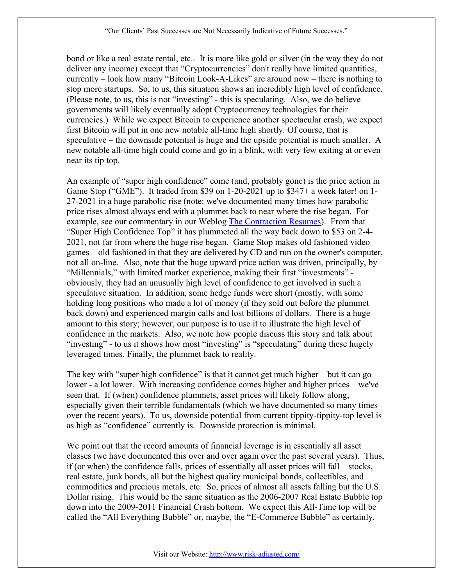bond or like a real estate rental, etc.. It is more like gold or silver (in the way they do not deliver any income) except that "Cryptocurrencies" don't really have limited quantities, currently – look how many "Bitcoin Look-A-Likes" are around now – there is nothing to stop more startups. So, to us, this situation shows an incredibly high level of confidence. (Please note, to us, this is not "investing" - this is speculating. Also, we do believe governments will likely eventually adopt Cryptocurrency technologies for their currencies.) While we expect Bitcoin to experience another spectacular crash, we expect first Bitcoin will put in one new notable all-time high shortly. Of course, that is speculative – the downside potential is huge and the upside potential is much smaller. A new notable all-time high could come and go in a blink, with very few exiting at or even near its tip top.

An example of "super high confidence" come (and, probably gone) is the price action in Game Stop ("GME"). It traded from \$39 on 1-20-2021 up to \$347+ a week later! on 1- 27-2021 in a huge parabolic rise (note: we've documented many times how parabolic price rises almost always end with a plummet back to near where the rise began. For example, see our commentary in our Weblog [The Contraction Resumes\)](http://risk-adjusted.com/wordpress/presentations-education-opinions/weblogs/the-contraction-resumes/). From that "Super High Confidence Top" it has plummeted all the way back down to \$53 on 2-4- 2021, not far from where the huge rise began. Game Stop makes old fashioned video games – old fashioned in that they are delivered by CD and run on the owner's computer, not all on-line. Also, note that the huge upward price action was driven, principally, by "Millennials," with limited market experience, making their first "investments" obviously, they had an unusually high level of confidence to get involved in such a speculative situation. In addition, some hedge funds were short (mostly, with some holding long positions who made a lot of money (if they sold out before the plummet back down) and experienced margin calls and lost billions of dollars. There is a huge amount to this story; however, our purpose is to use it to illustrate the high level of confidence in the markets. Also, we note how people discuss this story and talk about "investing" - to us it shows how most "investing" is "speculating" during these hugely leveraged times. Finally, the plummet back to reality.

The key with "super high confidence" is that it cannot get much higher – but it can go lower - a lot lower. With increasing confidence comes higher and higher prices – we've seen that. If (when) confidence plummets, asset prices will likely follow along, especially given their terrible fundamentals (which we have documented so many times over the recent years). To us, downside potential from current tippity-tippity-top level is as high as "confidence" currently is. Downside protection is minimal.

We point out that the record amounts of financial leverage is in essentially all asset classes (we have documented this over and over again over the past several years). Thus, if (or when) the confidence falls, prices of essentially all asset prices will fall – stocks, real estate, junk bonds, all but the highest quality municipal bonds, collectibles, and commodities and precious metals, etc. So, prices of almost all assets falling but the U.S. Dollar rising. This would be the same situation as the 2006-2007 Real Estate Bubble top down into the 2009-2011 Financial Crash bottom. We expect this All-Time top will be called the "All Everything Bubble" or, maybe, the "E-Commerce Bubble" as certainly,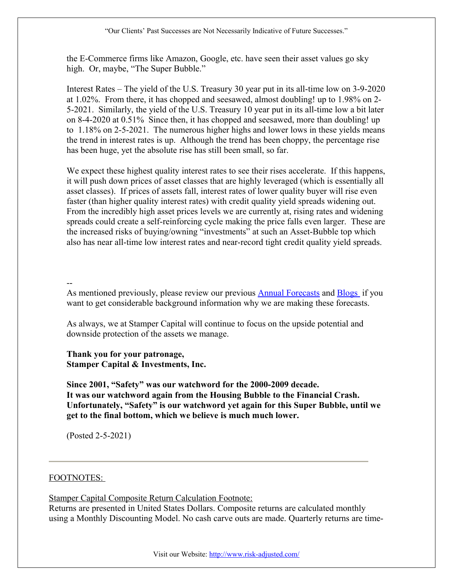the E-Commerce firms like Amazon, Google, etc. have seen their asset values go sky high. Or, maybe, "The Super Bubble."

Interest Rates – The yield of the U.S. Treasury 30 year put in its all-time low on 3-9-2020 at 1.02%. From there, it has chopped and seesawed, almost doubling! up to 1.98% on 2- 5-2021. Similarly, the yield of the U.S. Treasury 10 year put in its all-time low a bit later on 8-4-2020 at 0.51% Since then, it has chopped and seesawed, more than doubling! up to 1.18% on 2-5-2021. The numerous higher highs and lower lows in these yields means the trend in interest rates is up. Although the trend has been choppy, the percentage rise has been huge, yet the absolute rise has still been small, so far.

We expect these highest quality interest rates to see their rises accelerate. If this happens, it will push down prices of asset classes that are highly leveraged (which is essentially all asset classes). If prices of assets fall, interest rates of lower quality buyer will rise even faster (than higher quality interest rates) with credit quality yield spreads widening out. From the incredibly high asset prices levels we are currently at, rising rates and widening spreads could create a self-reinforcing cycle making the price falls even larger. These are the increased risks of buying/owning "investments" at such an Asset-Bubble top which also has near all-time low interest rates and near-record tight credit quality yield spreads.

--

As mentioned previously, please review our previous [Annual Forecasts](http://risk-adjusted.com/wordpress/presentations-education-opinions/annual-forecasts/) and [Blogs](http://risk-adjusted.com/wordpress/presentations-education-opinions/weblogs/) if you want to get considerable background information why we are making these forecasts.

As always, we at Stamper Capital will continue to focus on the upside potential and downside protection of the assets we manage.

**Thank you for your patronage, Stamper Capital & Investments, Inc.**

**Since 2001, "Safety" was our watchword for the 2000-2009 decade. It was our watchword again from the Housing Bubble to the Financial Crash. Unfortunately, "Safety" is our watchword yet again for this Super Bubble, until we get to the final bottom, which we believe is much much lower.**

(Posted 2-5-2021)

# FOOTNOTES:

Stamper Capital Composite Return Calculation Footnote:

Returns are presented in United States Dollars. Composite returns are calculated monthly using a Monthly Discounting Model. No cash carve outs are made. Quarterly returns are time-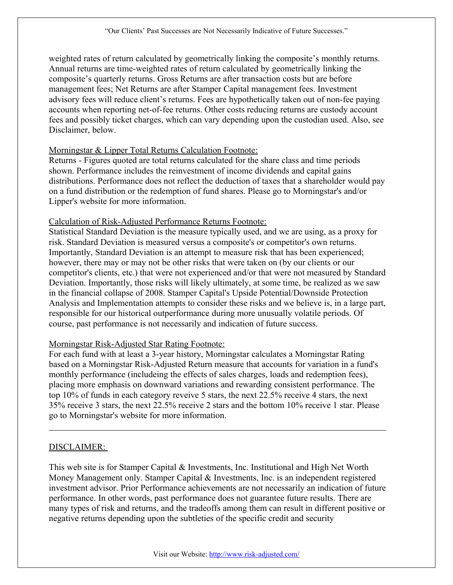weighted rates of return calculated by geometrically linking the composite's monthly returns. Annual returns are time-weighted rates of return calculated by geometrically linking the composite's quarterly returns. Gross Returns are after transaction costs but are before management fees; Net Returns are after Stamper Capital management fees. Investment advisory fees will reduce client's returns. Fees are hypothetically taken out of non-fee paying accounts when reporting net-of-fee returns. Other costs reducing returns are custody account fees and possibly ticket charges, which can vary depending upon the custodian used. Also, see Disclaimer, below.

#### Morningstar & Lipper Total Returns Calculation Footnote:

Returns - Figures quoted are total returns calculated for the share class and time periods shown. Performance includes the reinvestment of income dividends and capital gains distributions. Performance does not reflect the deduction of taxes that a shareholder would pay on a fund distribution or the redemption of fund shares. Please go to Morningstar's and/or Lipper's website for more information.

#### Calculation of Risk-Adjusted Performance Returns Footnote:

Statistical Standard Deviation is the measure typically used, and we are using, as a proxy for risk. Standard Deviation is measured versus a composite's or competitor's own returns. Importantly, Standard Deviation is an attempt to measure risk that has been experienced; however, there may or may not be other risks that were taken on (by our clients or our competitor's clients, etc.) that were not experienced and/or that were not measured by Standard Deviation. Importantly, those risks will likely ultimately, at some time, be realized as we saw in the financial collapse of 2008. Stamper Capital's Upside Potential/Downside Protection Analysis and Implementation attempts to consider these risks and we believe is, in a large part, responsible for our historical outperformance during more unusually volatile periods. Of course, past performance is not necessarily and indication of future success.

# Morningstar Risk-Adjusted Star Rating Footnote:

For each fund with at least a 3-year history, Morningstar calculates a Morningstar Rating based on a Morningstar Risk-Adjusted Return measure that accounts for variation in a fund's monthly performance (includeing the effects of sales charges, loads and redemption fees), placing more emphasis on downward variations and rewarding consistent performance. The top 10% of funds in each category reveive 5 stars, the next 22.5% receive 4 stars, the next 35% receive 3 stars, the next 22.5% receive 2 stars and the bottom 10% receive 1 star. Please go to Morningstar's website for more information.

# DISCLAIMER:

This web site is for Stamper Capital & Investments, Inc. Institutional and High Net Worth Money Management only. Stamper Capital & Investments, Inc. is an independent registered investment advisor. Prior Performance achievements are not necessarily an indication of future performance. In other words, past performance does not guarantee future results. There are many types of risk and returns, and the tradeoffs among them can result in different positive or negative returns depending upon the subtleties of the specific credit and security